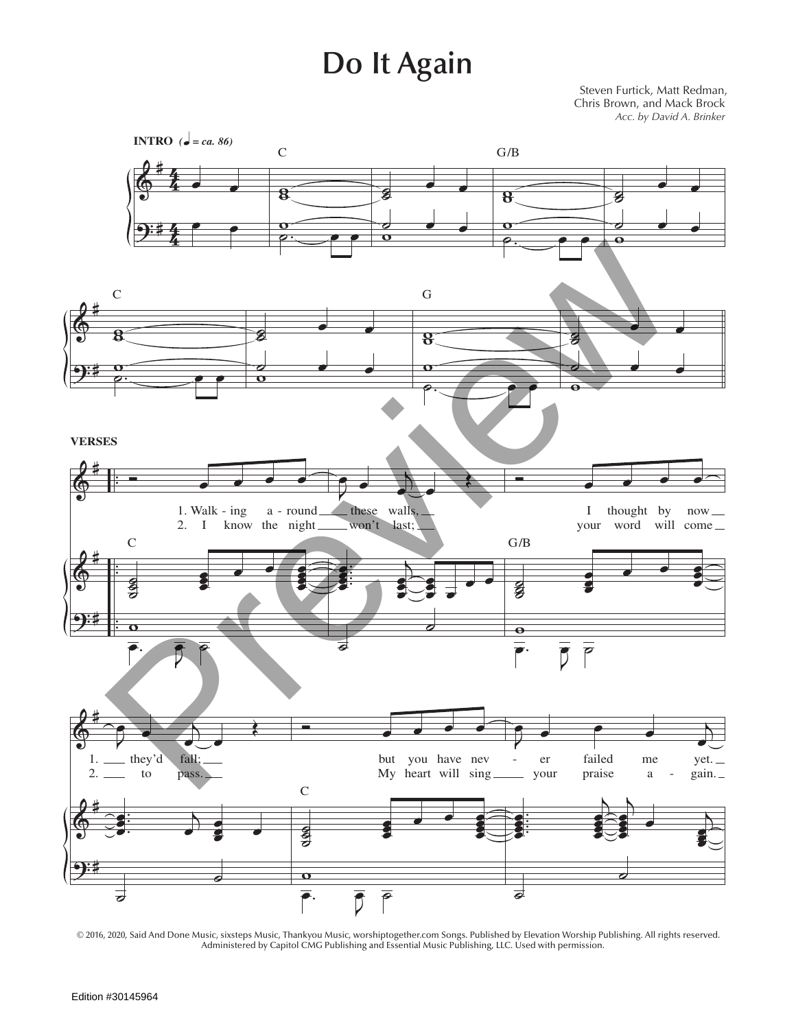## **Do It Again**

Steven Furtick, Matt Redman, Chris Brown, and Mack Brock *Acc. by David A. Brinker*



© 2016, 2020, Said And Done Music, sixsteps Music, Thankyou Music, worshiptogether.com Songs. Published by Elevation Worship Publishing. All rights reserved. Administered by Capitol CMG Publishing and Essential Music Publishing, LLC. Used with permission.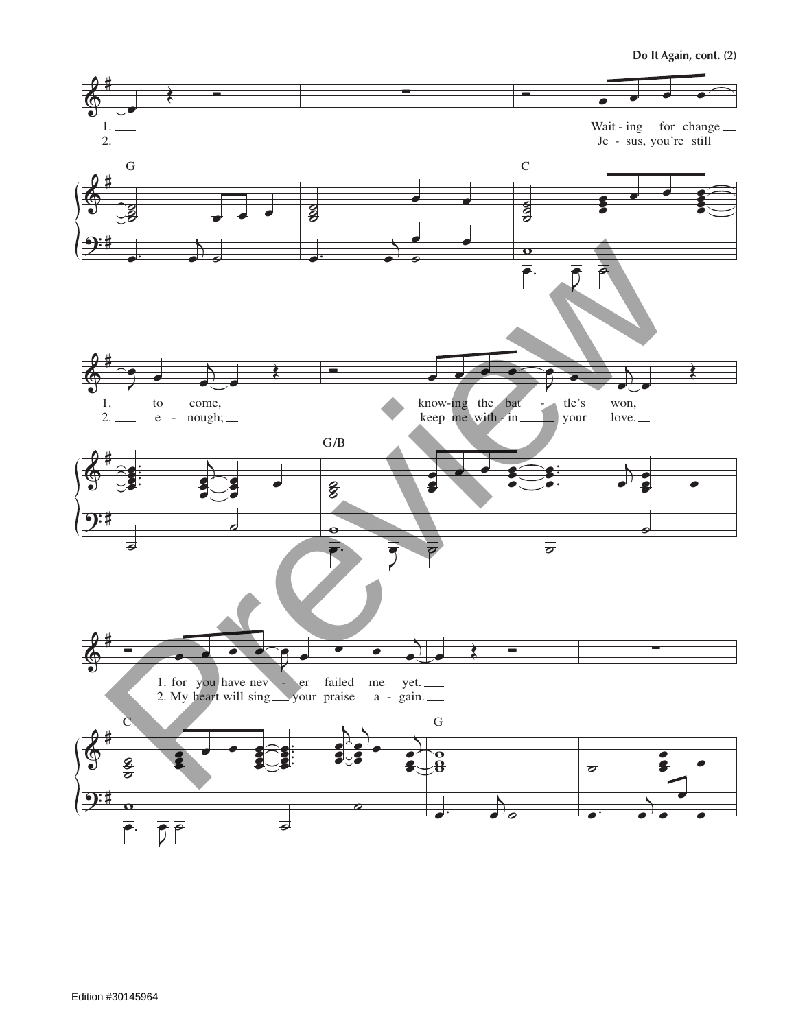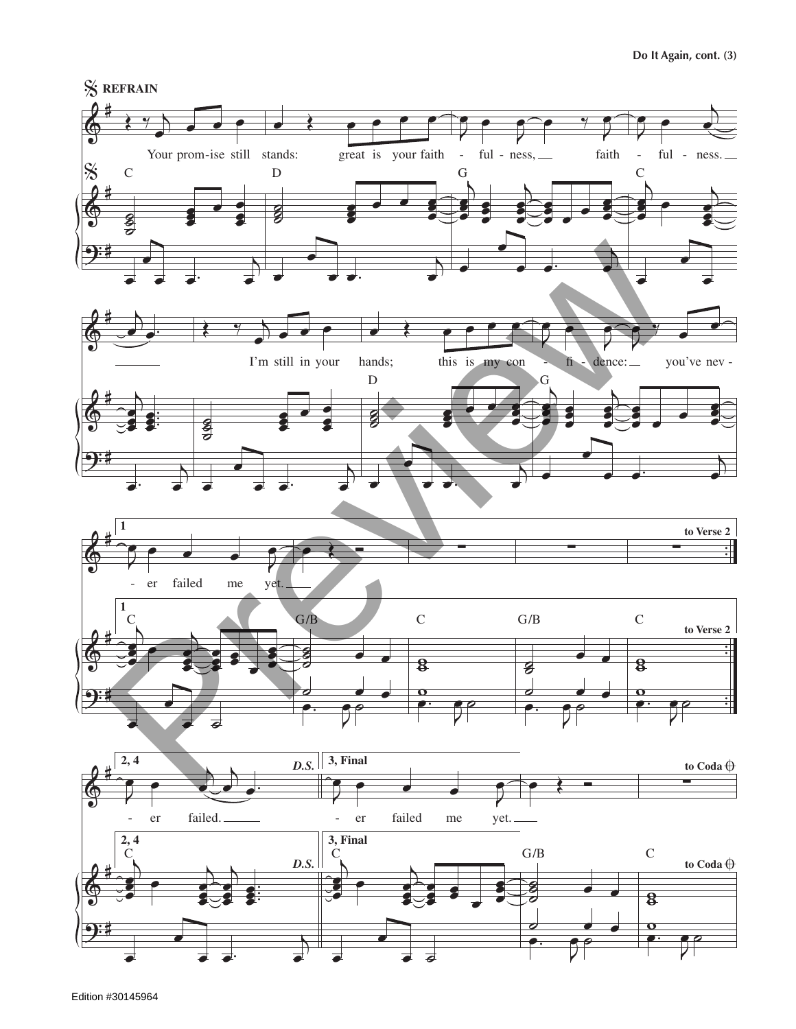

Edition #30145964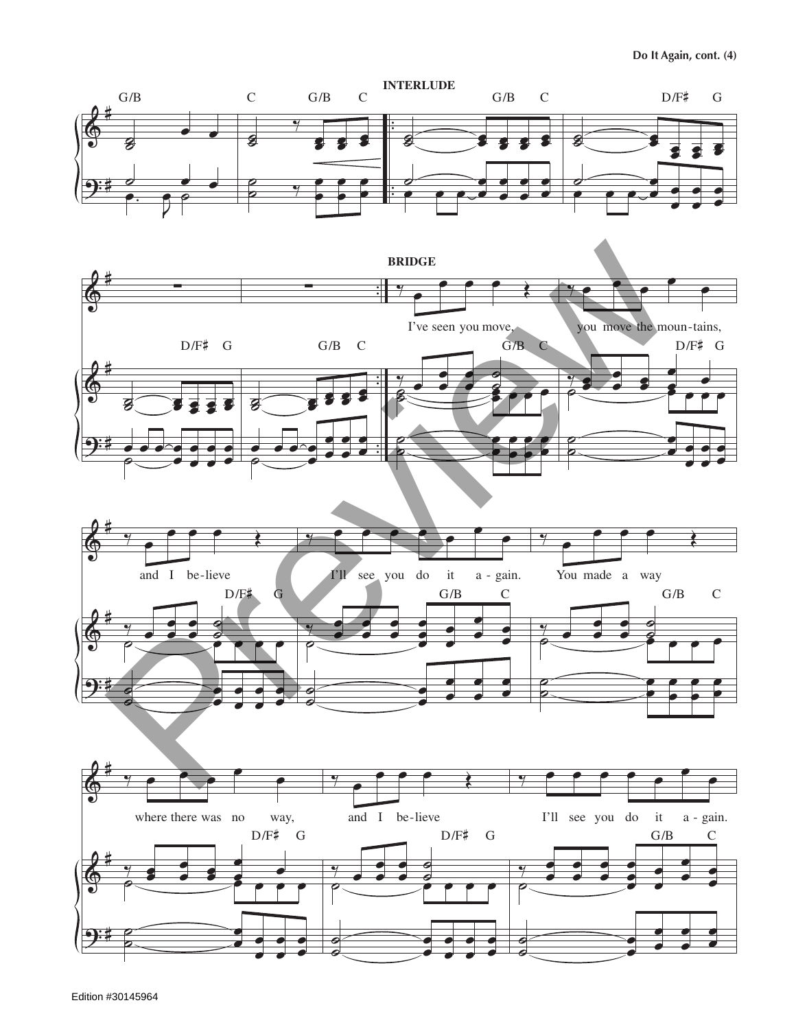





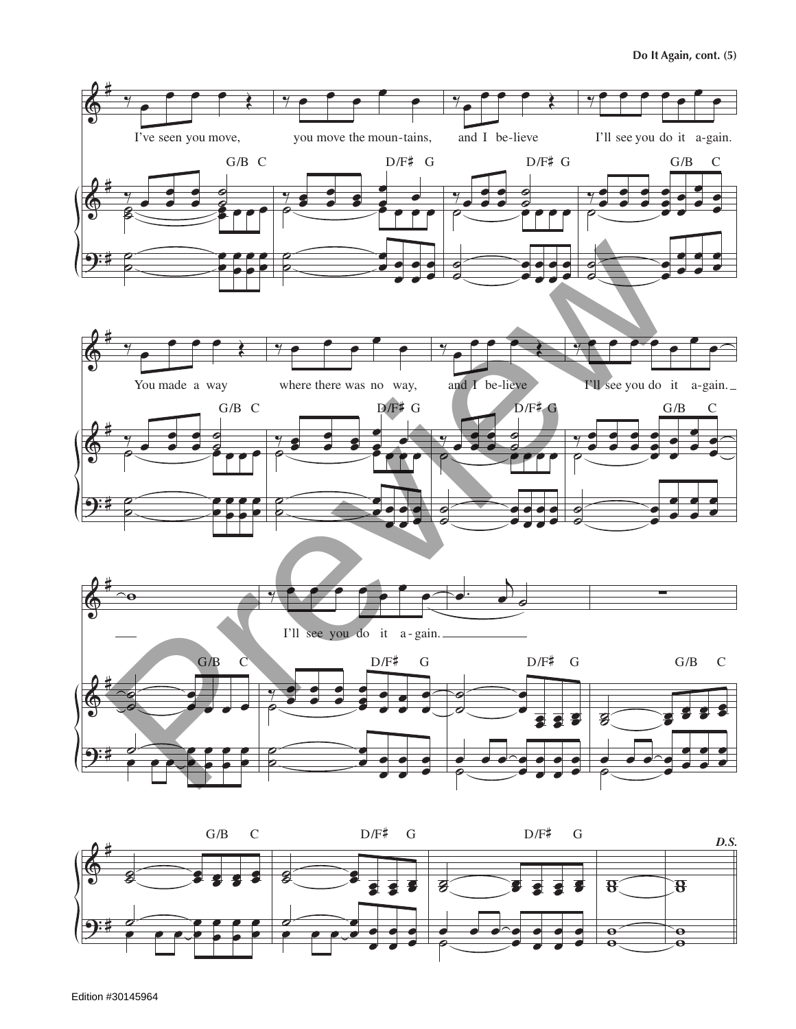